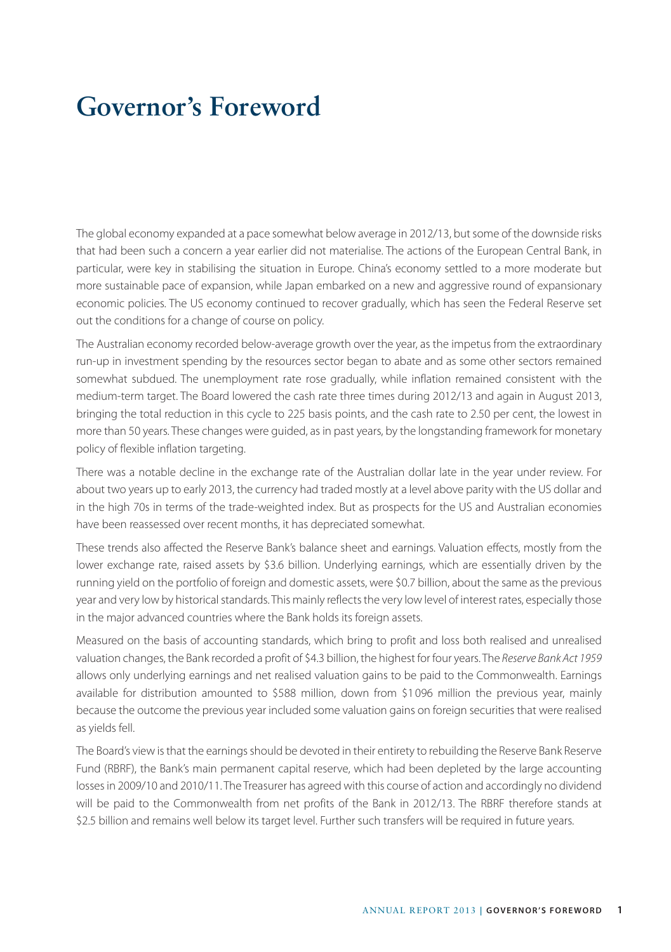## **Governor's Foreword**

The global economy expanded at a pace somewhat below average in 2012/13, but some of the downside risks that had been such a concern a year earlier did not materialise. The actions of the European Central Bank, in particular, were key in stabilising the situation in Europe. China's economy settled to a more moderate but more sustainable pace of expansion, while Japan embarked on a new and aggressive round of expansionary economic policies. The US economy continued to recover gradually, which has seen the Federal Reserve set out the conditions for a change of course on policy.

The Australian economy recorded below-average growth over the year, as the impetus from the extraordinary run-up in investment spending by the resources sector began to abate and as some other sectors remained somewhat subdued. The unemployment rate rose gradually, while inflation remained consistent with the medium-term target. The Board lowered the cash rate three times during 2012/13 and again in August 2013, bringing the total reduction in this cycle to 225 basis points, and the cash rate to 2.50 per cent, the lowest in more than 50 years. These changes were guided, as in past years, by the longstanding framework for monetary policy of flexible inflation targeting.

There was a notable decline in the exchange rate of the Australian dollar late in the year under review. For about two years up to early 2013, the currency had traded mostly at a level above parity with the US dollar and in the high 70s in terms of the trade-weighted index. But as prospects for the US and Australian economies have been reassessed over recent months, it has depreciated somewhat.

These trends also affected the Reserve Bank's balance sheet and earnings. Valuation effects, mostly from the lower exchange rate, raised assets by \$3.6 billion. Underlying earnings, which are essentially driven by the running yield on the portfolio of foreign and domestic assets, were \$0.7 billion, about the same as the previous year and very low by historical standards. This mainly reflects the very low level of interest rates, especially those in the major advanced countries where the Bank holds its foreign assets.

Measured on the basis of accounting standards, which bring to profit and loss both realised and unrealised valuation changes, the Bank recorded a profit of \$4.3 billion, the highest for four years. The *Reserve Bank Act 1959* allows only underlying earnings and net realised valuation gains to be paid to the Commonwealth. Earnings available for distribution amounted to \$588 million, down from \$1096 million the previous year, mainly because the outcome the previous year included some valuation gains on foreign securities that were realised as yields fell.

The Board's view is that the earnings should be devoted in their entirety to rebuilding the Reserve Bank Reserve Fund (RBRF), the Bank's main permanent capital reserve, which had been depleted by the large accounting losses in 2009/10 and 2010/11. The Treasurer has agreed with this course of action and accordingly no dividend will be paid to the Commonwealth from net profits of the Bank in 2012/13. The RBRF therefore stands at \$2.5 billion and remains well below its target level. Further such transfers will be required in future years.